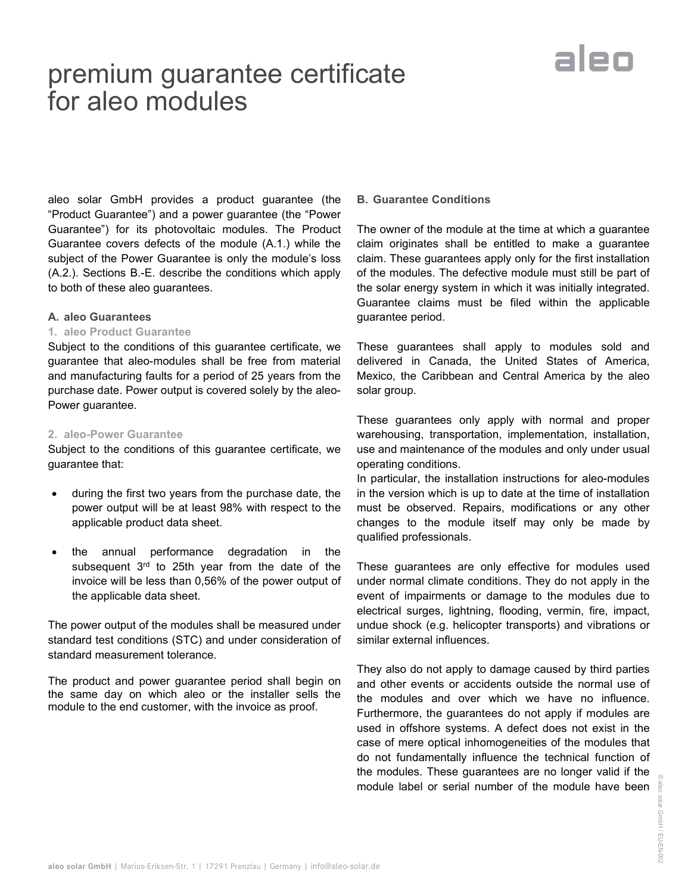### premium guarantee certificate for aleo modules



aleo solar GmbH provides a product guarantee (the "Product Guarantee") and a power guarantee (the "Power Guarantee") for its photovoltaic modules. The Product Guarantee covers defects of the module (A.1.) while the subject of the Power Guarantee is only the module's loss (A.2.). Sections B.-E. describe the conditions which apply to both of these aleo guarantees.

#### **A. aleo Guarantees**

#### **1. aleo Product Guarantee**

Subject to the conditions of this guarantee certificate, we guarantee that aleo-modules shall be free from material and manufacturing faults for a period of 25 years from the purchase date. Power output is covered solely by the aleo-Power guarantee.

#### **2. aleo-Power Guarantee**

Subject to the conditions of this guarantee certificate, we guarantee that:

- during the first two years from the purchase date, the power output will be at least 98% with respect to the applicable product data sheet.
- the annual performance degradation in the subsequent 3<sup>rd</sup> to 25th year from the date of the invoice will be less than 0,56% of the power output of the applicable data sheet.

The power output of the modules shall be measured under standard test conditions (STC) and under consideration of standard measurement tolerance.

The product and power guarantee period shall begin on the same day on which aleo or the installer sells the module to the end customer, with the invoice as proof.

#### **B. Guarantee Conditions**

The owner of the module at the time at which a guarantee claim originates shall be entitled to make a guarantee claim. These guarantees apply only for the first installation of the modules. The defective module must still be part of the solar energy system in which it was initially integrated. Guarantee claims must be filed within the applicable guarantee period.

These guarantees shall apply to modules sold and delivered in Canada, the United States of America, Mexico, the Caribbean and Central America by the aleo solar group.

These guarantees only apply with normal and proper warehousing, transportation, implementation, installation, use and maintenance of the modules and only under usual operating conditions.

In particular, the installation instructions for aleo-modules in the version which is up to date at the time of installation must be observed. Repairs, modifications or any other changes to the module itself may only be made by qualified professionals.

These guarantees are only effective for modules used under normal climate conditions. They do not apply in the event of impairments or damage to the modules due to electrical surges, lightning, flooding, vermin, fire, impact, undue shock (e.g. helicopter transports) and vibrations or similar external influences.

 $\frac{1}{2}$  module label or serial number of the module have been  $\frac{3}{8}$ They also do not apply to damage caused by third parties and other events or accidents outside the normal use of the modules and over which we have no influence. Furthermore, the guarantees do not apply if modules are used in offshore systems. A defect does not exist in the case of mere optical inhomogeneities of the modules that do not fundamentally influence the technical function of the modules. These guarantees are no longer valid if the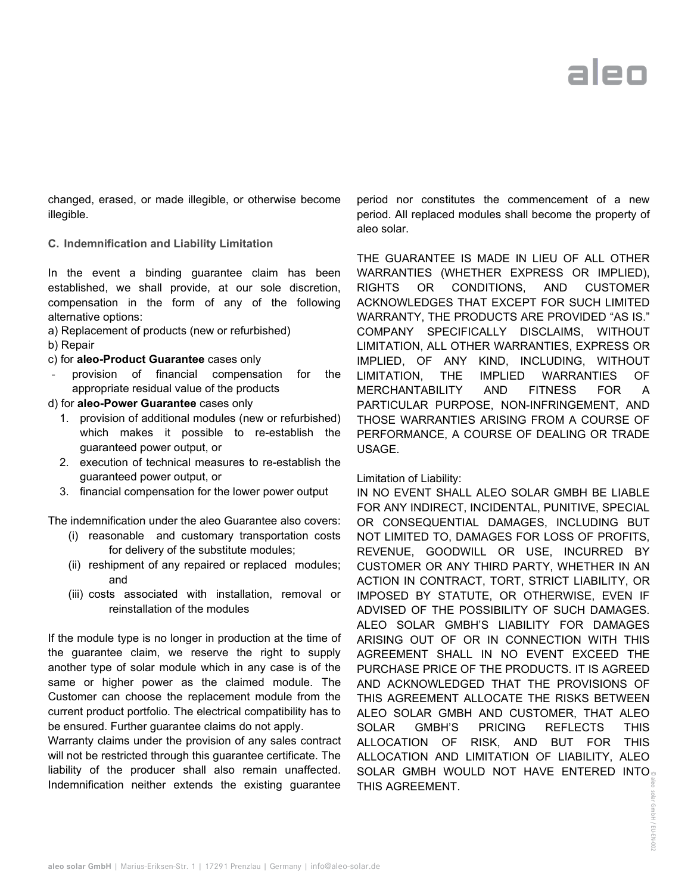## aleo

changed, erased, or made illegible, or otherwise become illegible.

**C. Indemnification and Liability Limitation**

In the event a binding guarantee claim has been established, we shall provide, at our sole discretion, compensation in the form of any of the following alternative options:

- a) Replacement of products (new or refurbished)
- b) Repair
- c) for **aleo-Product Guarantee** cases only
- provision of financial compensation for the appropriate residual value of the products
- d) for **aleo-Power Guarantee** cases only
	- 1. provision of additional modules (new or refurbished) which makes it possible to re-establish the guaranteed power output, or
	- 2. execution of technical measures to re-establish the guaranteed power output, or
	- 3. financial compensation for the lower power output

The indemnification under the aleo Guarantee also covers:

- (i) reasonable and customary transportation costs for delivery of the substitute modules;
- (ii) reshipment of any repaired or replaced modules; and
- (iii) costs associated with installation, removal or reinstallation of the modules

If the module type is no longer in production at the time of the guarantee claim, we reserve the right to supply another type of solar module which in any case is of the same or higher power as the claimed module. The Customer can choose the replacement module from the current product portfolio. The electrical compatibility has to be ensured. Further guarantee claims do not apply.

Warranty claims under the provision of any sales contract will not be restricted through this guarantee certificate. The liability of the producer shall also remain unaffected. Indemnification neither extends the existing guarantee

period nor constitutes the commencement of a new period. All replaced modules shall become the property of aleo solar.

THE GUARANTEE IS MADE IN LIEU OF ALL OTHER WARRANTIES (WHETHER EXPRESS OR IMPLIED), RIGHTS OR CONDITIONS, AND CUSTOMER ACKNOWLEDGES THAT EXCEPT FOR SUCH LIMITED WARRANTY, THE PRODUCTS ARE PROVIDED "AS IS." COMPANY SPECIFICALLY DISCLAIMS, WITHOUT LIMITATION, ALL OTHER WARRANTIES, EXPRESS OR IMPLIED, OF ANY KIND, INCLUDING, WITHOUT LIMITATION, THE IMPLIED WARRANTIES OF MERCHANTABILITY AND FITNESS FOR A PARTICULAR PURPOSE, NON-INFRINGEMENT, AND THOSE WARRANTIES ARISING FROM A COURSE OF PERFORMANCE, A COURSE OF DEALING OR TRADE USAGE.

Limitation of Liability:

SOLAR GMBH WOULD NOT HAVE ENTERED INTO solar IN NO EVENT SHALL ALEO SOLAR GMBH BE LIABLE FOR ANY INDIRECT, INCIDENTAL, PUNITIVE, SPECIAL OR CONSEQUENTIAL DAMAGES, INCLUDING BUT NOT LIMITED TO, DAMAGES FOR LOSS OF PROFITS, REVENUE, GOODWILL OR USE, INCURRED BY CUSTOMER OR ANY THIRD PARTY, WHETHER IN AN ACTION IN CONTRACT, TORT, STRICT LIABILITY, OR IMPOSED BY STATUTE, OR OTHERWISE, EVEN IF ADVISED OF THE POSSIBILITY OF SUCH DAMAGES. ALEO SOLAR GMBH'S LIABILITY FOR DAMAGES ARISING OUT OF OR IN CONNECTION WITH THIS AGREEMENT SHALL IN NO EVENT EXCEED THE PURCHASE PRICE OF THE PRODUCTS. IT IS AGREED AND ACKNOWLEDGED THAT THE PROVISIONS OF THIS AGREEMENT ALLOCATE THE RISKS BETWEEN ALEO SOLAR GMBH AND CUSTOMER, THAT ALEO SOLAR GMBH'S PRICING REFLECTS THIS ALLOCATION OF RISK, AND BUT FOR THIS ALLOCATION AND LIMITATION OF LIABILITY, ALEO THIS AGREEMENT.

> GmbH / EU-EN-002 / EU-EN-002